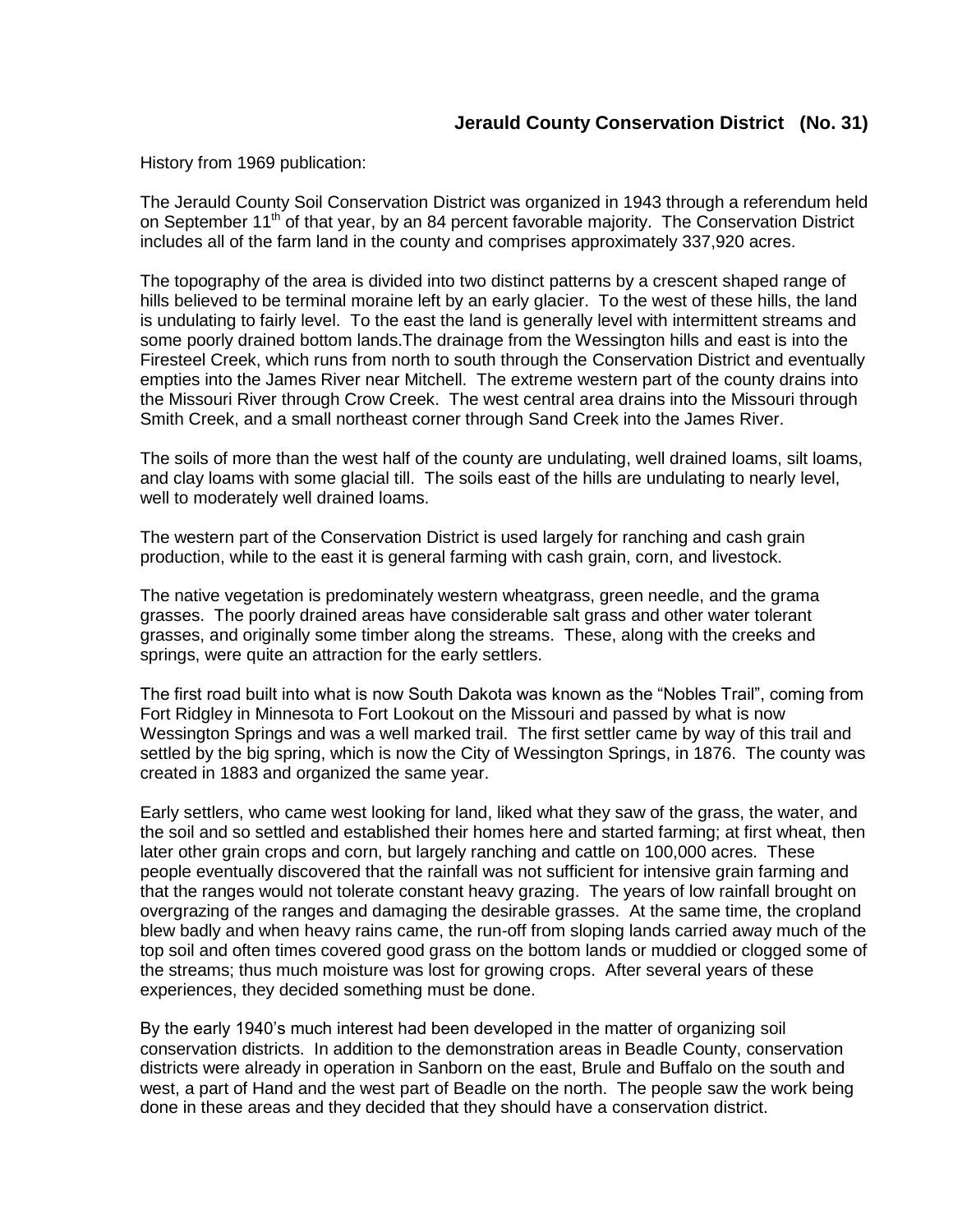## **Jerauld County Conservation District (No. 31)**

History from 1969 publication:

The Jerauld County Soil Conservation District was organized in 1943 through a referendum held on September 11<sup>th</sup> of that year, by an 84 percent favorable majority. The Conservation District includes all of the farm land in the county and comprises approximately 337,920 acres.

The topography of the area is divided into two distinct patterns by a crescent shaped range of hills believed to be terminal moraine left by an early glacier. To the west of these hills, the land is undulating to fairly level. To the east the land is generally level with intermittent streams and some poorly drained bottom lands.The drainage from the Wessington hills and east is into the Firesteel Creek, which runs from north to south through the Conservation District and eventually empties into the James River near Mitchell. The extreme western part of the county drains into the Missouri River through Crow Creek. The west central area drains into the Missouri through Smith Creek, and a small northeast corner through Sand Creek into the James River.

The soils of more than the west half of the county are undulating, well drained loams, silt loams, and clay loams with some glacial till. The soils east of the hills are undulating to nearly level, well to moderately well drained loams.

The western part of the Conservation District is used largely for ranching and cash grain production, while to the east it is general farming with cash grain, corn, and livestock.

The native vegetation is predominately western wheatgrass, green needle, and the grama grasses. The poorly drained areas have considerable salt grass and other water tolerant grasses, and originally some timber along the streams. These, along with the creeks and springs, were quite an attraction for the early settlers.

The first road built into what is now South Dakota was known as the "Nobles Trail", coming from Fort Ridgley in Minnesota to Fort Lookout on the Missouri and passed by what is now Wessington Springs and was a well marked trail. The first settler came by way of this trail and settled by the big spring, which is now the City of Wessington Springs, in 1876. The county was created in 1883 and organized the same year.

Early settlers, who came west looking for land, liked what they saw of the grass, the water, and the soil and so settled and established their homes here and started farming; at first wheat, then later other grain crops and corn, but largely ranching and cattle on 100,000 acres. These people eventually discovered that the rainfall was not sufficient for intensive grain farming and that the ranges would not tolerate constant heavy grazing. The years of low rainfall brought on overgrazing of the ranges and damaging the desirable grasses. At the same time, the cropland blew badly and when heavy rains came, the run-off from sloping lands carried away much of the top soil and often times covered good grass on the bottom lands or muddied or clogged some of the streams; thus much moisture was lost for growing crops. After several years of these experiences, they decided something must be done.

By the early 1940's much interest had been developed in the matter of organizing soil conservation districts. In addition to the demonstration areas in Beadle County, conservation districts were already in operation in Sanborn on the east, Brule and Buffalo on the south and west, a part of Hand and the west part of Beadle on the north. The people saw the work being done in these areas and they decided that they should have a conservation district.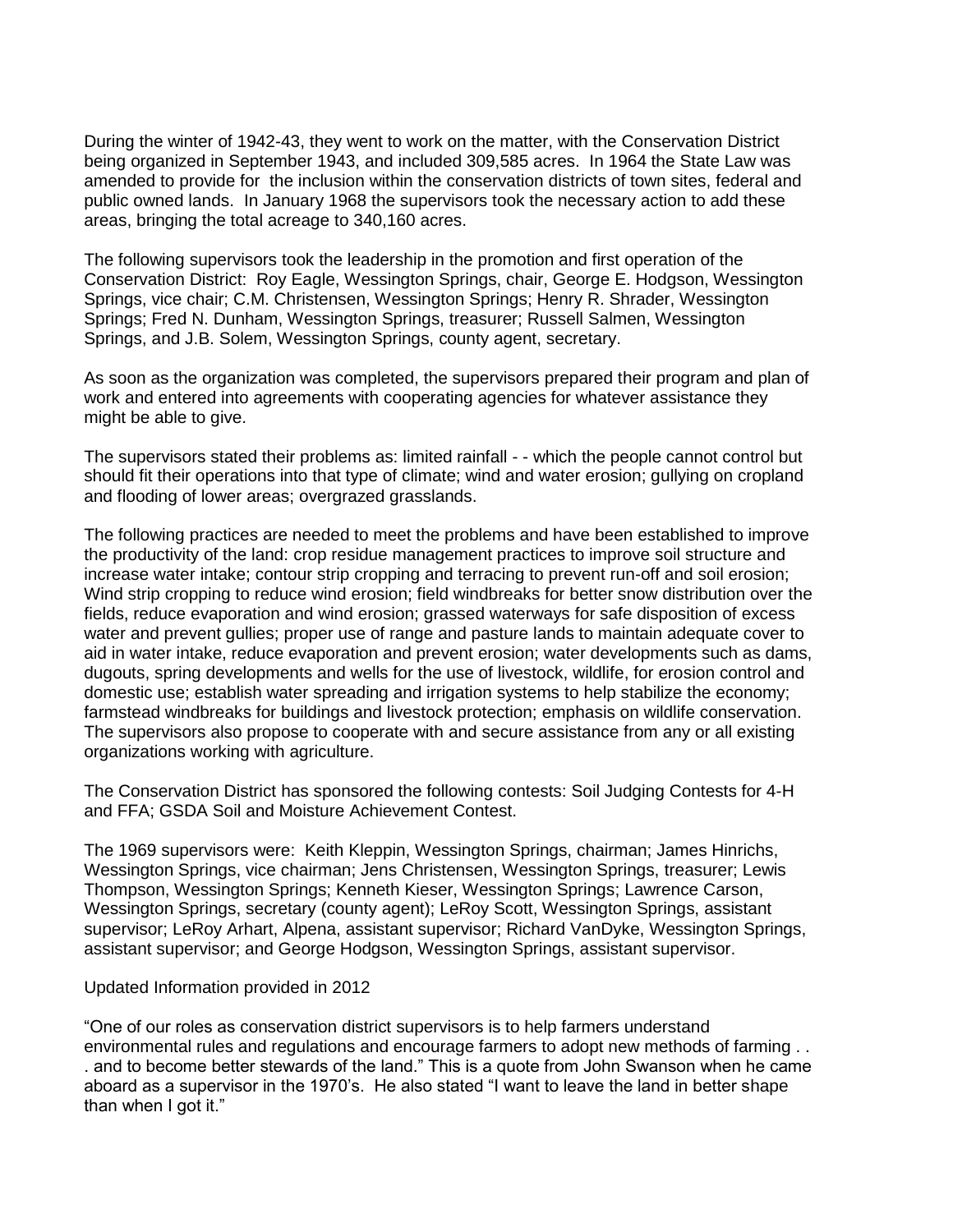During the winter of 1942-43, they went to work on the matter, with the Conservation District being organized in September 1943, and included 309,585 acres. In 1964 the State Law was amended to provide for the inclusion within the conservation districts of town sites, federal and public owned lands. In January 1968 the supervisors took the necessary action to add these areas, bringing the total acreage to 340,160 acres.

The following supervisors took the leadership in the promotion and first operation of the Conservation District: Roy Eagle, Wessington Springs, chair, George E. Hodgson, Wessington Springs, vice chair; C.M. Christensen, Wessington Springs; Henry R. Shrader, Wessington Springs; Fred N. Dunham, Wessington Springs, treasurer; Russell Salmen, Wessington Springs, and J.B. Solem, Wessington Springs, county agent, secretary.

As soon as the organization was completed, the supervisors prepared their program and plan of work and entered into agreements with cooperating agencies for whatever assistance they might be able to give.

The supervisors stated their problems as: limited rainfall - - which the people cannot control but should fit their operations into that type of climate; wind and water erosion; gullying on cropland and flooding of lower areas; overgrazed grasslands.

The following practices are needed to meet the problems and have been established to improve the productivity of the land: crop residue management practices to improve soil structure and increase water intake; contour strip cropping and terracing to prevent run-off and soil erosion; Wind strip cropping to reduce wind erosion; field windbreaks for better snow distribution over the fields, reduce evaporation and wind erosion; grassed waterways for safe disposition of excess water and prevent gullies; proper use of range and pasture lands to maintain adequate cover to aid in water intake, reduce evaporation and prevent erosion; water developments such as dams, dugouts, spring developments and wells for the use of livestock, wildlife, for erosion control and domestic use; establish water spreading and irrigation systems to help stabilize the economy; farmstead windbreaks for buildings and livestock protection; emphasis on wildlife conservation. The supervisors also propose to cooperate with and secure assistance from any or all existing organizations working with agriculture.

The Conservation District has sponsored the following contests: Soil Judging Contests for 4-H and FFA; GSDA Soil and Moisture Achievement Contest.

The 1969 supervisors were: Keith Kleppin, Wessington Springs, chairman; James Hinrichs, Wessington Springs, vice chairman; Jens Christensen, Wessington Springs, treasurer; Lewis Thompson, Wessington Springs; Kenneth Kieser, Wessington Springs; Lawrence Carson, Wessington Springs, secretary (county agent); LeRoy Scott, Wessington Springs, assistant supervisor; LeRoy Arhart, Alpena, assistant supervisor; Richard VanDyke, Wessington Springs, assistant supervisor; and George Hodgson, Wessington Springs, assistant supervisor.

## Updated Information provided in 2012

"One of our roles as conservation district supervisors is to help farmers understand environmental rules and regulations and encourage farmers to adopt new methods of farming . . . and to become better stewards of the land." This is a quote from John Swanson when he came aboard as a supervisor in the 1970's. He also stated "I want to leave the land in better shape than when I got it."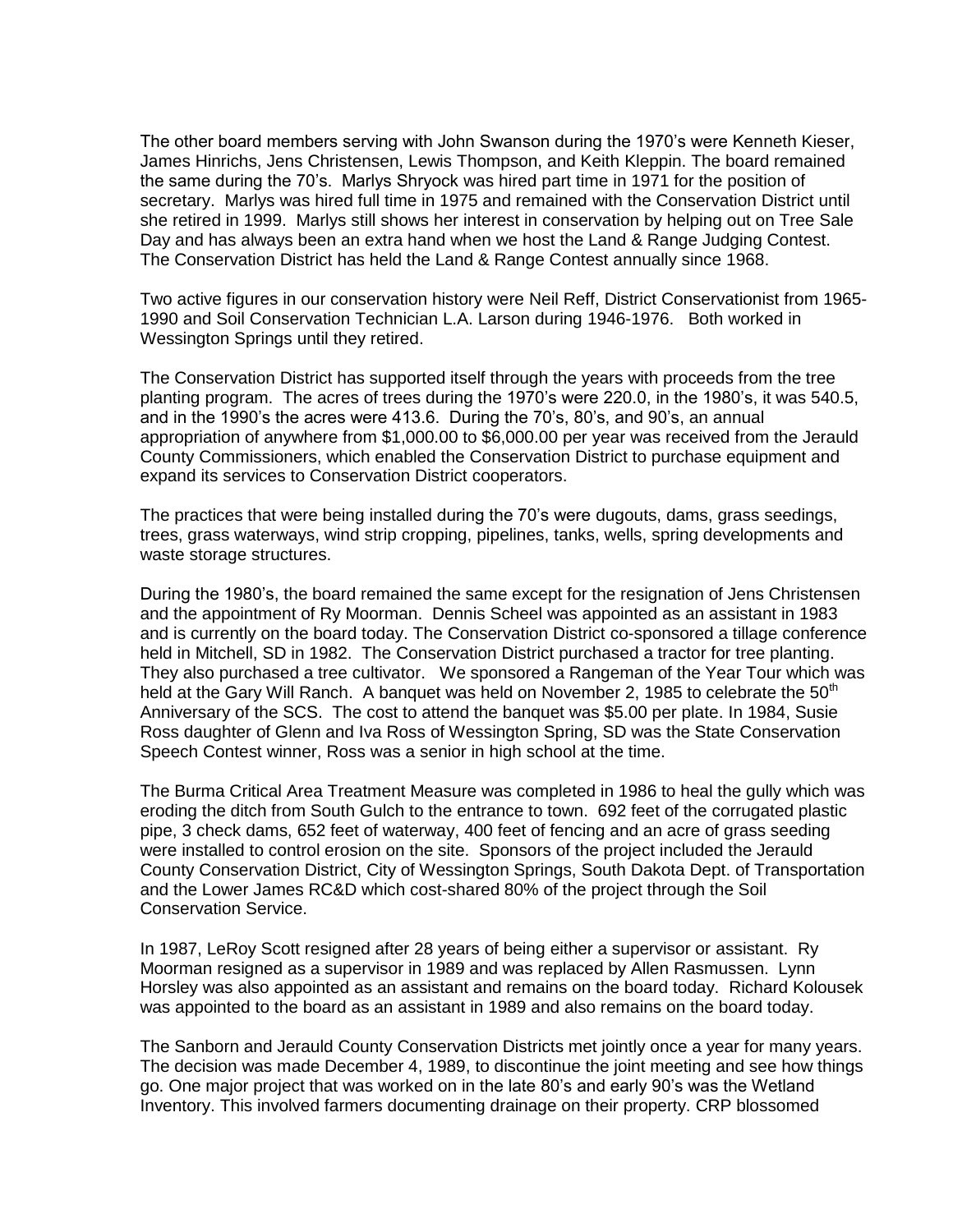The other board members serving with John Swanson during the 1970's were Kenneth Kieser, James Hinrichs, Jens Christensen, Lewis Thompson, and Keith Kleppin. The board remained the same during the 70's. Marlys Shryock was hired part time in 1971 for the position of secretary. Marlys was hired full time in 1975 and remained with the Conservation District until she retired in 1999. Marlys still shows her interest in conservation by helping out on Tree Sale Day and has always been an extra hand when we host the Land & Range Judging Contest. The Conservation District has held the Land & Range Contest annually since 1968.

Two active figures in our conservation history were Neil Reff, District Conservationist from 1965- 1990 and Soil Conservation Technician L.A. Larson during 1946-1976. Both worked in Wessington Springs until they retired.

The Conservation District has supported itself through the years with proceeds from the tree planting program. The acres of trees during the 1970's were 220.0, in the 1980's, it was 540.5, and in the 1990's the acres were 413.6. During the 70's, 80's, and 90's, an annual appropriation of anywhere from \$1,000.00 to \$6,000.00 per year was received from the Jerauld County Commissioners, which enabled the Conservation District to purchase equipment and expand its services to Conservation District cooperators.

The practices that were being installed during the 70's were dugouts, dams, grass seedings, trees, grass waterways, wind strip cropping, pipelines, tanks, wells, spring developments and waste storage structures.

During the 1980's, the board remained the same except for the resignation of Jens Christensen and the appointment of Ry Moorman. Dennis Scheel was appointed as an assistant in 1983 and is currently on the board today. The Conservation District co-sponsored a tillage conference held in Mitchell, SD in 1982. The Conservation District purchased a tractor for tree planting. They also purchased a tree cultivator. We sponsored a Rangeman of the Year Tour which was held at the Gary Will Ranch. A banquet was held on November 2, 1985 to celebrate the  $50<sup>th</sup>$ Anniversary of the SCS. The cost to attend the banquet was \$5.00 per plate. In 1984, Susie Ross daughter of Glenn and Iva Ross of Wessington Spring, SD was the State Conservation Speech Contest winner, Ross was a senior in high school at the time.

The Burma Critical Area Treatment Measure was completed in 1986 to heal the gully which was eroding the ditch from South Gulch to the entrance to town. 692 feet of the corrugated plastic pipe, 3 check dams, 652 feet of waterway, 400 feet of fencing and an acre of grass seeding were installed to control erosion on the site. Sponsors of the project included the Jerauld County Conservation District, City of Wessington Springs, South Dakota Dept. of Transportation and the Lower James RC&D which cost-shared 80% of the project through the Soil Conservation Service.

In 1987, LeRoy Scott resigned after 28 years of being either a supervisor or assistant. Ry Moorman resigned as a supervisor in 1989 and was replaced by Allen Rasmussen. Lynn Horsley was also appointed as an assistant and remains on the board today. Richard Kolousek was appointed to the board as an assistant in 1989 and also remains on the board today.

The Sanborn and Jerauld County Conservation Districts met jointly once a year for many years. The decision was made December 4, 1989, to discontinue the joint meeting and see how things go. One major project that was worked on in the late 80's and early 90's was the Wetland Inventory. This involved farmers documenting drainage on their property. CRP blossomed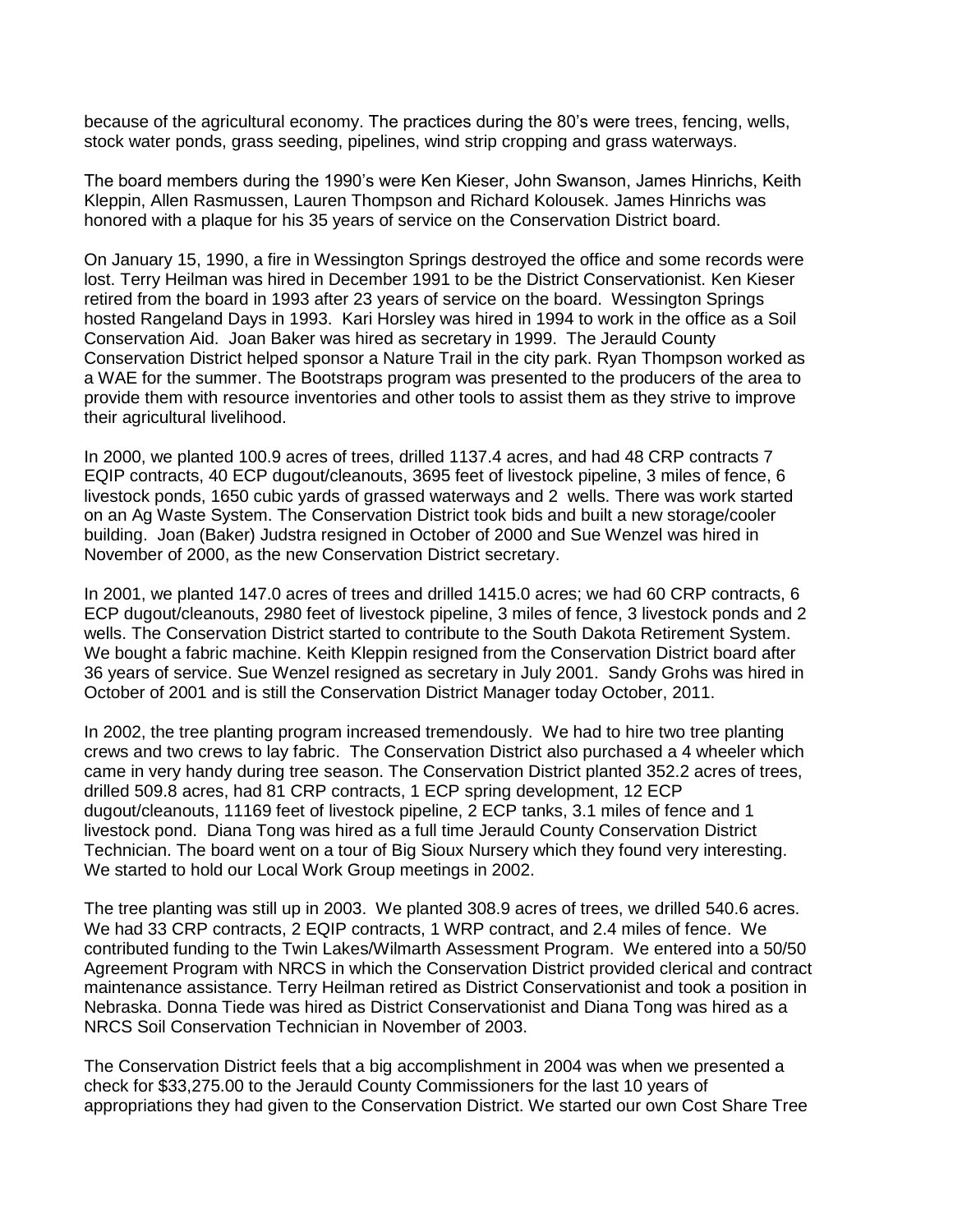because of the agricultural economy. The practices during the 80's were trees, fencing, wells, stock water ponds, grass seeding, pipelines, wind strip cropping and grass waterways.

The board members during the 1990's were Ken Kieser, John Swanson, James Hinrichs, Keith Kleppin, Allen Rasmussen, Lauren Thompson and Richard Kolousek. James Hinrichs was honored with a plaque for his 35 years of service on the Conservation District board.

On January 15, 1990, a fire in Wessington Springs destroyed the office and some records were lost. Terry Heilman was hired in December 1991 to be the District Conservationist. Ken Kieser retired from the board in 1993 after 23 years of service on the board. Wessington Springs hosted Rangeland Days in 1993. Kari Horsley was hired in 1994 to work in the office as a Soil Conservation Aid. Joan Baker was hired as secretary in 1999. The Jerauld County Conservation District helped sponsor a Nature Trail in the city park. Ryan Thompson worked as a WAE for the summer. The Bootstraps program was presented to the producers of the area to provide them with resource inventories and other tools to assist them as they strive to improve their agricultural livelihood.

In 2000, we planted 100.9 acres of trees, drilled 1137.4 acres, and had 48 CRP contracts 7 EQIP contracts, 40 ECP dugout/cleanouts, 3695 feet of livestock pipeline, 3 miles of fence, 6 livestock ponds, 1650 cubic yards of grassed waterways and 2 wells. There was work started on an Ag Waste System. The Conservation District took bids and built a new storage/cooler building. Joan (Baker) Judstra resigned in October of 2000 and Sue Wenzel was hired in November of 2000, as the new Conservation District secretary.

In 2001, we planted 147.0 acres of trees and drilled 1415.0 acres; we had 60 CRP contracts, 6 ECP dugout/cleanouts, 2980 feet of livestock pipeline, 3 miles of fence, 3 livestock ponds and 2 wells. The Conservation District started to contribute to the South Dakota Retirement System. We bought a fabric machine. Keith Kleppin resigned from the Conservation District board after 36 years of service. Sue Wenzel resigned as secretary in July 2001. Sandy Grohs was hired in October of 2001 and is still the Conservation District Manager today October, 2011.

In 2002, the tree planting program increased tremendously. We had to hire two tree planting crews and two crews to lay fabric. The Conservation District also purchased a 4 wheeler which came in very handy during tree season. The Conservation District planted 352.2 acres of trees, drilled 509.8 acres, had 81 CRP contracts, 1 ECP spring development, 12 ECP dugout/cleanouts, 11169 feet of livestock pipeline, 2 ECP tanks, 3.1 miles of fence and 1 livestock pond. Diana Tong was hired as a full time Jerauld County Conservation District Technician. The board went on a tour of Big Sioux Nursery which they found very interesting. We started to hold our Local Work Group meetings in 2002.

The tree planting was still up in 2003. We planted 308.9 acres of trees, we drilled 540.6 acres. We had 33 CRP contracts, 2 EQIP contracts, 1 WRP contract, and 2.4 miles of fence. We contributed funding to the Twin Lakes/Wilmarth Assessment Program. We entered into a 50/50 Agreement Program with NRCS in which the Conservation District provided clerical and contract maintenance assistance. Terry Heilman retired as District Conservationist and took a position in Nebraska. Donna Tiede was hired as District Conservationist and Diana Tong was hired as a NRCS Soil Conservation Technician in November of 2003.

The Conservation District feels that a big accomplishment in 2004 was when we presented a check for \$33,275.00 to the Jerauld County Commissioners for the last 10 years of appropriations they had given to the Conservation District. We started our own Cost Share Tree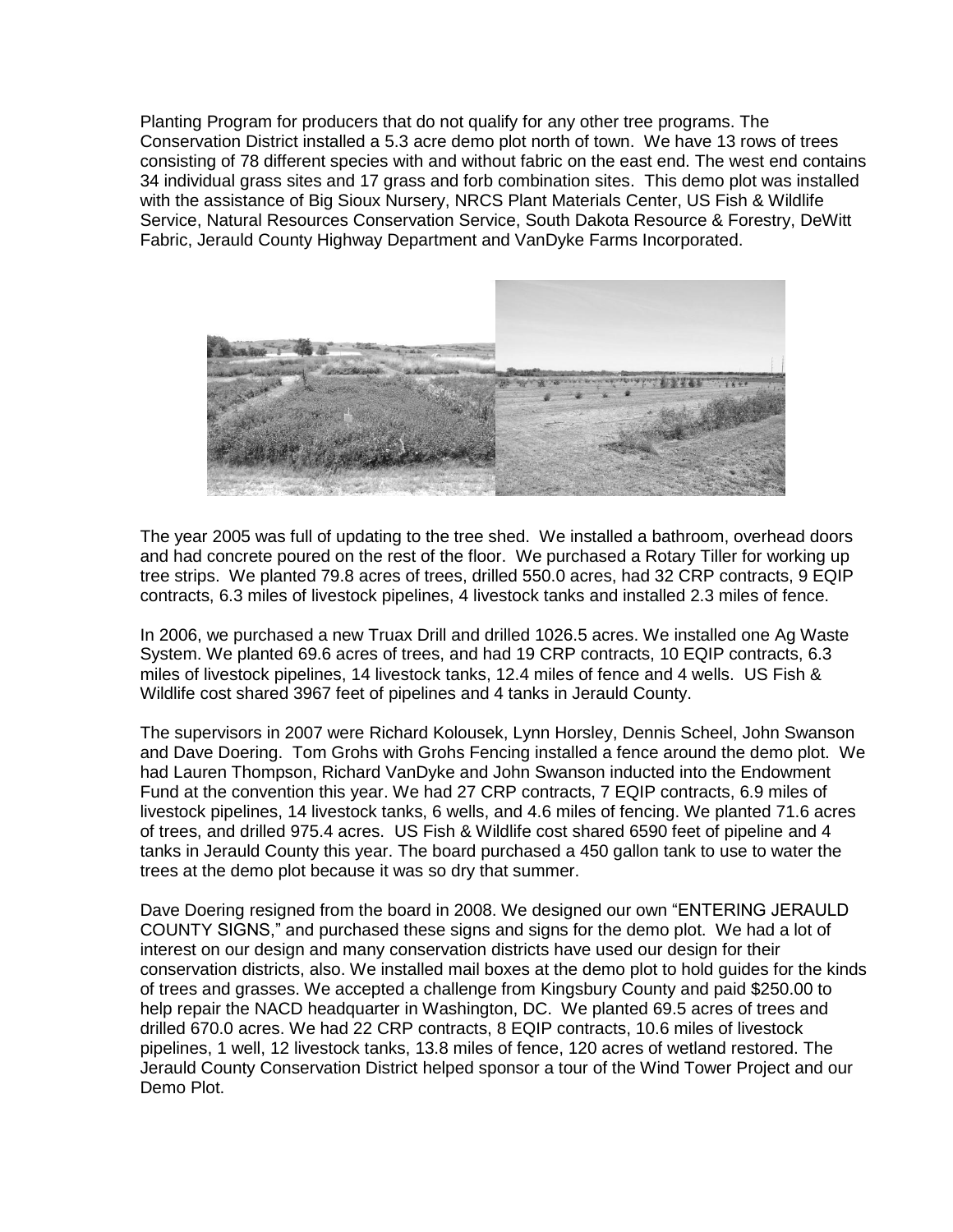Planting Program for producers that do not qualify for any other tree programs. The Conservation District installed a 5.3 acre demo plot north of town. We have 13 rows of trees consisting of 78 different species with and without fabric on the east end. The west end contains 34 individual grass sites and 17 grass and forb combination sites. This demo plot was installed with the assistance of Big Sioux Nursery, NRCS Plant Materials Center, US Fish & Wildlife Service, Natural Resources Conservation Service, South Dakota Resource & Forestry, DeWitt Fabric, Jerauld County Highway Department and VanDyke Farms Incorporated.



The year 2005 was full of updating to the tree shed. We installed a bathroom, overhead doors and had concrete poured on the rest of the floor. We purchased a Rotary Tiller for working up tree strips. We planted 79.8 acres of trees, drilled 550.0 acres, had 32 CRP contracts, 9 EQIP contracts, 6.3 miles of livestock pipelines, 4 livestock tanks and installed 2.3 miles of fence.

In 2006, we purchased a new Truax Drill and drilled 1026.5 acres. We installed one Ag Waste System. We planted 69.6 acres of trees, and had 19 CRP contracts, 10 EQIP contracts, 6.3 miles of livestock pipelines, 14 livestock tanks, 12.4 miles of fence and 4 wells. US Fish & Wildlife cost shared 3967 feet of pipelines and 4 tanks in Jerauld County.

The supervisors in 2007 were Richard Kolousek, Lynn Horsley, Dennis Scheel, John Swanson and Dave Doering. Tom Grohs with Grohs Fencing installed a fence around the demo plot. We had Lauren Thompson, Richard VanDyke and John Swanson inducted into the Endowment Fund at the convention this year. We had 27 CRP contracts, 7 EQIP contracts, 6.9 miles of livestock pipelines, 14 livestock tanks, 6 wells, and 4.6 miles of fencing. We planted 71.6 acres of trees, and drilled 975.4 acres. US Fish & Wildlife cost shared 6590 feet of pipeline and 4 tanks in Jerauld County this year. The board purchased a 450 gallon tank to use to water the trees at the demo plot because it was so dry that summer.

Dave Doering resigned from the board in 2008. We designed our own "ENTERING JERAULD COUNTY SIGNS," and purchased these signs and signs for the demo plot. We had a lot of interest on our design and many conservation districts have used our design for their conservation districts, also. We installed mail boxes at the demo plot to hold guides for the kinds of trees and grasses. We accepted a challenge from Kingsbury County and paid \$250.00 to help repair the NACD headquarter in Washington, DC. We planted 69.5 acres of trees and drilled 670.0 acres. We had 22 CRP contracts, 8 EQIP contracts, 10.6 miles of livestock pipelines, 1 well, 12 livestock tanks, 13.8 miles of fence, 120 acres of wetland restored. The Jerauld County Conservation District helped sponsor a tour of the Wind Tower Project and our Demo Plot.